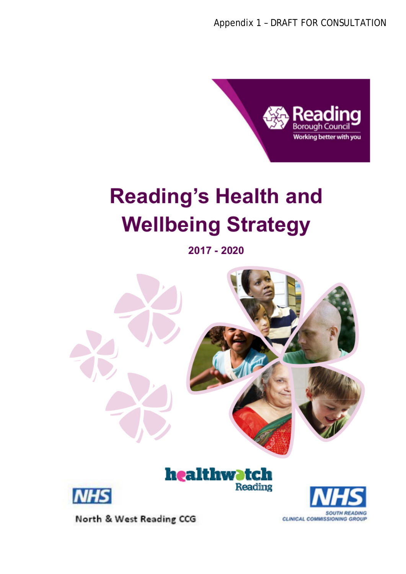

# **Reading's Health and Wellbeing Strategy**

2017 - 2020



North & West Reading CCG

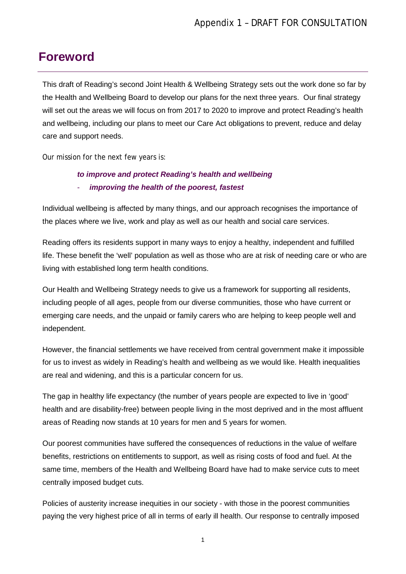### <span id="page-1-0"></span>**Foreword**

This draft of Reading's second Joint Health & Wellbeing Strategy sets out the work done so far by the Health and Wellbeing Board to develop our plans for the next three years. Our final strategy will set out the areas we will focus on from 2017 to 2020 to improve and protect Reading's health and wellbeing, including our plans to meet our Care Act obligations to prevent, reduce and delay care and support needs.

Our mission for the next few years is:

#### *to improve and protect Reading's health and wellbeing*  - *improving the health of the poorest, fastest*

Individual wellbeing is affected by many things, and our approach recognises the importance of the places where we live, work and play as well as our health and social care services.

Reading offers its residents support in many ways to enjoy a healthy, independent and fulfilled life. These benefit the 'well' population as well as those who are at risk of needing care or who are living with established long term health conditions.

Our Health and Wellbeing Strategy needs to give us a framework for supporting all residents, including people of all ages, people from our diverse communities, those who have current or emerging care needs, and the unpaid or family carers who are helping to keep people well and independent.

However, the financial settlements we have received from central government make it impossible for us to invest as widely in Reading's health and wellbeing as we would like. Health inequalities are real and widening, and this is a particular concern for us.

The gap in healthy life expectancy (the number of years people are expected to live in 'good' health and are disability-free) between people living in the most deprived and in the most affluent areas of Reading now stands at 10 years for men and 5 years for women.

Our poorest communities have suffered the consequences of reductions in the value of welfare benefits, restrictions on entitlements to support, as well as rising costs of food and fuel. At the same time, members of the Health and Wellbeing Board have had to make service cuts to meet centrally imposed budget cuts.

Policies of austerity increase inequities in our society - with those in the poorest communities paying the very highest price of all in terms of early ill health. Our response to centrally imposed

1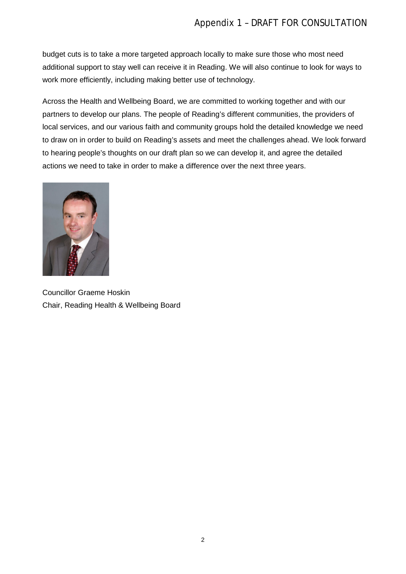budget cuts is to take a more targeted approach locally to make sure those who most need additional support to stay well can receive it in Reading. We will also continue to look for ways to work more efficiently, including making better use of technology.

Across the Health and Wellbeing Board, we are committed to working together and with our partners to develop our plans. The people of Reading's different communities, the providers of local services, and our various faith and community groups hold the detailed knowledge we need to draw on in order to build on Reading's assets and meet the challenges ahead. We look forward to hearing people's thoughts on our draft plan so we can develop it, and agree the detailed actions we need to take in order to make a difference over the next three years.



Councillor Graeme Hoskin Chair, Reading Health & Wellbeing Board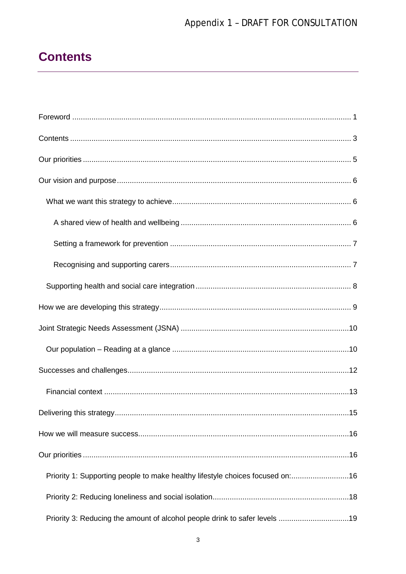# Appendix 1 - DRAFT FOR CONSULTATION

# <span id="page-3-0"></span>**Contents**

| Priority 1: Supporting people to make healthy lifestyle choices focused on:16 |
|-------------------------------------------------------------------------------|
|                                                                               |
| Priority 3: Reducing the amount of alcohol people drink to safer levels 19    |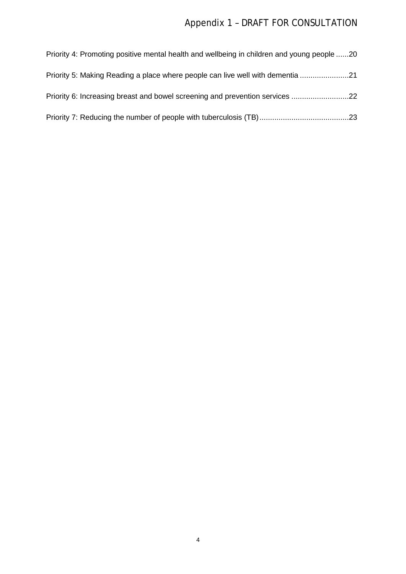# Appendix 1 – DRAFT FOR CONSULTATION

| Priority 4: Promoting positive mental health and wellbeing in children and young people 20 |  |
|--------------------------------------------------------------------------------------------|--|
| Priority 5: Making Reading a place where people can live well with dementia 21             |  |
| Priority 6: Increasing breast and bowel screening and prevention services 22               |  |
|                                                                                            |  |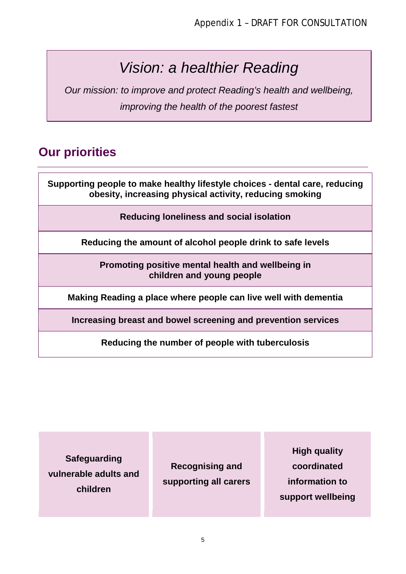# *Vision: a healthier Reading*

*Our mission: to improve and protect Reading's health and wellbeing, improving the health of the poorest fastest*

# <span id="page-5-0"></span>**Our priorities**

**Supporting people to make healthy lifestyle choices - dental care, reducing obesity, increasing physical activity, reducing smoking**

**Reducing loneliness and social isolation**

**Reducing the amount of alcohol people drink to safe levels**

**Promoting positive mental health and wellbeing in children and young people**

**Making Reading a place where people can live well with dementia**

**Increasing breast and bowel screening and prevention services**

**Reducing the number of people with tuberculosis**

**Safeguarding vulnerable adults and children**

**Recognising and supporting all carers**

**High quality coordinated information to support wellbeing**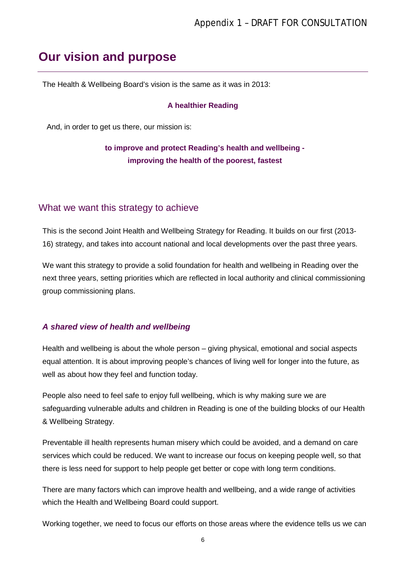# <span id="page-6-0"></span>**Our vision and purpose**

The Health & Wellbeing Board's vision is the same as it was in 2013:

#### **A healthier Reading**

And, in order to get us there, our mission is:

### **to improve and protect Reading's health and wellbeing improving the health of the poorest, fastest**

#### <span id="page-6-1"></span>What we want this strategy to achieve

This is the second Joint Health and Wellbeing Strategy for Reading. It builds on our first (2013- 16) strategy, and takes into account national and local developments over the past three years.

We want this strategy to provide a solid foundation for health and wellbeing in Reading over the next three years, setting priorities which are reflected in local authority and clinical commissioning group commissioning plans.

#### <span id="page-6-2"></span>*A shared view of health and wellbeing*

Health and wellbeing is about the whole person – giving physical, emotional and social aspects equal attention. It is about improving people's chances of living well for longer into the future, as well as about how they feel and function today.

People also need to feel safe to enjoy full wellbeing, which is why making sure we are safeguarding vulnerable adults and children in Reading is one of the building blocks of our Health & Wellbeing Strategy.

Preventable ill health represents human misery which could be avoided, and a demand on care services which could be reduced. We want to increase our focus on keeping people well, so that there is less need for support to help people get better or cope with long term conditions.

There are many factors which can improve health and wellbeing, and a wide range of activities which the Health and Wellbeing Board could support.

Working together, we need to focus our efforts on those areas where the evidence tells us we can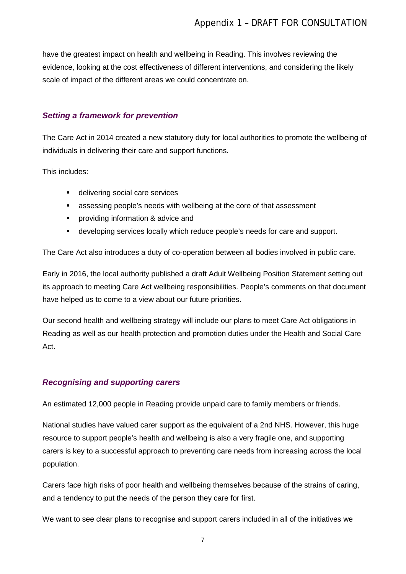have the greatest impact on health and wellbeing in Reading. This involves reviewing the evidence, looking at the cost effectiveness of different interventions, and considering the likely scale of impact of the different areas we could concentrate on.

#### <span id="page-7-0"></span>*Setting a framework for prevention*

The Care Act in 2014 created a new statutory duty for local authorities to promote the wellbeing of individuals in delivering their care and support functions.

This includes:

- **delivering social care services**
- assessing people's needs with wellbeing at the core of that assessment
- **•** providing information & advice and
- developing services locally which reduce people's needs for care and support.

The Care Act also introduces a duty of co-operation between all bodies involved in public care.

Early in 2016, the local authority published a draft Adult Wellbeing Position Statement setting out its approach to meeting Care Act wellbeing responsibilities. People's comments on that document have helped us to come to a view about our future priorities.

Our second health and wellbeing strategy will include our plans to meet Care Act obligations in Reading as well as our health protection and promotion duties under the Health and Social Care Act.

#### <span id="page-7-1"></span>*Recognising and supporting carers*

An estimated 12,000 people in Reading provide unpaid care to family members or friends.

National studies have valued carer support as the equivalent of a 2nd NHS. However, this huge resource to support people's health and wellbeing is also a very fragile one, and supporting carers is key to a successful approach to preventing care needs from increasing across the local population.

Carers face high risks of poor health and wellbeing themselves because of the strains of caring, and a tendency to put the needs of the person they care for first.

We want to see clear plans to recognise and support carers included in all of the initiatives we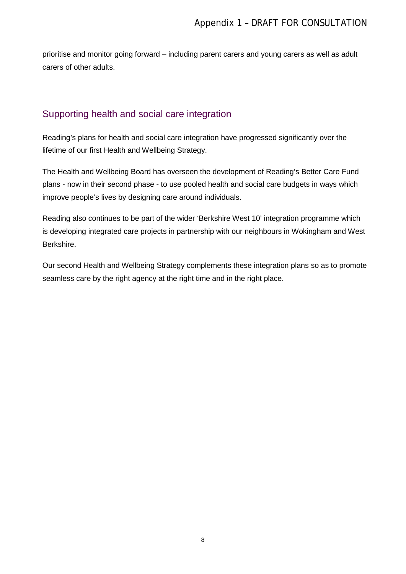prioritise and monitor going forward – including parent carers and young carers as well as adult carers of other adults.

#### <span id="page-8-0"></span>Supporting health and social care integration

Reading's plans for health and social care integration have progressed significantly over the lifetime of our first Health and Wellbeing Strategy.

The Health and Wellbeing Board has overseen the development of Reading's Better Care Fund plans - now in their second phase - to use pooled health and social care budgets in ways which improve people's lives by designing care around individuals.

Reading also continues to be part of the wider 'Berkshire West 10' integration programme which is developing integrated care projects in partnership with our neighbours in Wokingham and West Berkshire.

Our second Health and Wellbeing Strategy complements these integration plans so as to promote seamless care by the right agency at the right time and in the right place.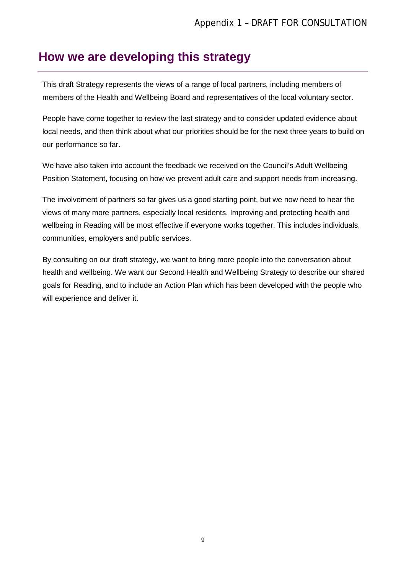### <span id="page-9-0"></span>**How we are developing this strategy**

This draft Strategy represents the views of a range of local partners, including members of members of the Health and Wellbeing Board and representatives of the local voluntary sector.

People have come together to review the last strategy and to consider updated evidence about local needs, and then think about what our priorities should be for the next three years to build on our performance so far.

We have also taken into account the feedback we received on the Council's Adult Wellbeing Position Statement, focusing on how we prevent adult care and support needs from increasing.

The involvement of partners so far gives us a good starting point, but we now need to hear the views of many more partners, especially local residents. Improving and protecting health and wellbeing in Reading will be most effective if everyone works together. This includes individuals, communities, employers and public services.

By consulting on our draft strategy, we want to bring more people into the conversation about health and wellbeing. We want our Second Health and Wellbeing Strategy to describe our shared goals for Reading, and to include an Action Plan which has been developed with the people who will experience and deliver it.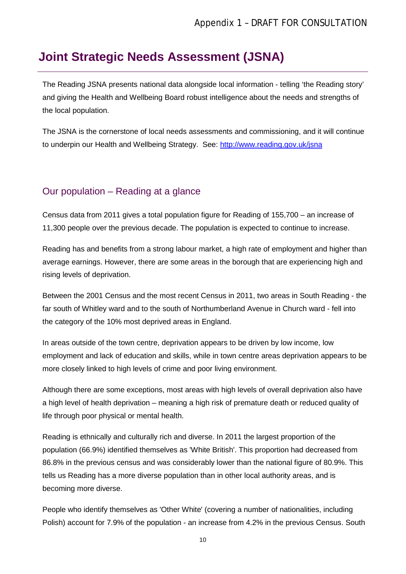# <span id="page-10-0"></span>**Joint Strategic Needs Assessment (JSNA)**

The Reading JSNA presents national data alongside local information - telling 'the Reading story' and giving the Health and Wellbeing Board robust intelligence about the needs and strengths of the local population.

The JSNA is the cornerstone of local needs assessments and commissioning, and it will continue to underpin our Health and Wellbeing Strategy. See:<http://www.reading.gov.uk/jsna>

#### <span id="page-10-1"></span>Our population – Reading at a glance

Census data from 2011 gives a total population figure for Reading of 155,700 – an increase of 11,300 people over the previous decade. The population is expected to continue to increase.

Reading has and benefits from a strong labour market, a high rate of employment and higher than average earnings. However, there are some areas in the borough that are experiencing high and rising levels of deprivation.

Between the 2001 Census and the most recent Census in 2011, two areas in South Reading - the far south of Whitley ward and to the south of Northumberland Avenue in Church ward - fell into the category of the 10% most deprived areas in England.

In areas outside of the town centre, deprivation appears to be driven by low income, low employment and lack of education and skills, while in town centre areas deprivation appears to be more closely linked to high levels of crime and poor living environment.

Although there are some exceptions, most areas with high levels of overall deprivation also have a high level of health deprivation – meaning a high risk of premature death or reduced quality of life through poor physical or mental health.

Reading is ethnically and culturally rich and diverse. In 2011 the largest proportion of the population (66.9%) identified themselves as 'White British'. This proportion had decreased from 86.8% in the previous census and was considerably lower than the national figure of 80.9%. This tells us Reading has a more diverse population than in other local authority areas, and is becoming more diverse.

People who identify themselves as 'Other White' (covering a number of nationalities, including Polish) account for 7.9% of the population - an increase from 4.2% in the previous Census. South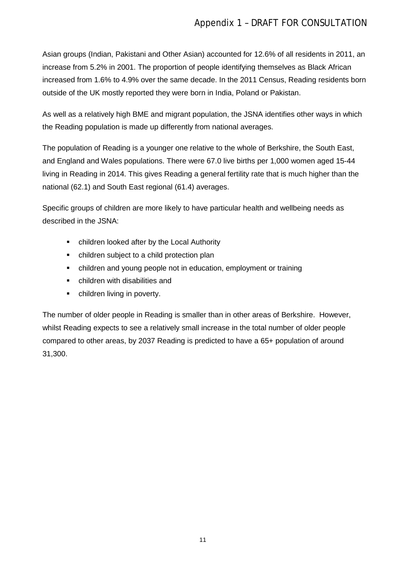Asian groups (Indian, Pakistani and Other Asian) accounted for 12.6% of all residents in 2011, an increase from 5.2% in 2001. The proportion of people identifying themselves as Black African increased from 1.6% to 4.9% over the same decade. In the 2011 Census, Reading residents born outside of the UK mostly reported they were born in India, Poland or Pakistan.

As well as a relatively high BME and migrant population, the JSNA identifies other ways in which the Reading population is made up differently from national averages.

The population of Reading is a younger one relative to the whole of Berkshire, the South East, and England and Wales populations. There were 67.0 live births per 1,000 women aged 15-44 living in Reading in 2014. This gives Reading a general fertility rate that is much higher than the national (62.1) and South East regional (61.4) averages.

Specific groups of children are more likely to have particular health and wellbeing needs as described in the JSNA:

- children looked after by the Local Authority
- children subject to a child protection plan
- children and young people not in education, employment or training
- children with disabilities and
- children living in poverty.

The number of older people in Reading is smaller than in other areas of Berkshire. However, whilst Reading expects to see a relatively small increase in the total number of older people compared to other areas, by 2037 Reading is predicted to have a 65+ population of around 31,300.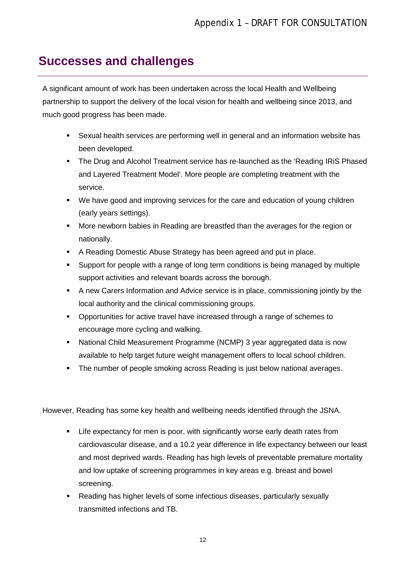# <span id="page-12-0"></span>**Successes and challenges**

A significant amount of work has been undertaken across the local Health and Wellbeing partnership to support the delivery of the local vision for health and wellbeing since 2013, and much good progress has been made.

- Sexual health services are performing well in general and an information website has been developed.
- The Drug and Alcohol Treatment service has re-launched as the 'Reading IRiS Phased and Layered Treatment Model'. More people are completing treatment with the service.
- We have good and improving services for the care and education of young children (early years settings).
- More newborn babies in Reading are breastfed than the averages for the region or nationally.
- A Reading Domestic Abuse Strategy has been agreed and put in place.
- Support for people with a range of long term conditions is being managed by multiple support activities and relevant boards across the borough.
- A new Carers Information and Advice service is in place, commissioning jointly by the local authority and the clinical commissioning groups.
- **•** Opportunities for active travel have increased through a range of schemes to encourage more cycling and walking.
- National Child Measurement Programme (NCMP) 3 year aggregated data is now available to help target future weight management offers to local school children.
- **The number of people smoking across Reading is just below national averages.**

However, Reading has some key health and wellbeing needs identified through the JSNA.

- Life expectancy for men is poor, with significantly worse early death rates from cardiovascular disease, and a 10.2 year difference in life expectancy between our least and most deprived wards. Reading has high levels of preventable premature mortality and low uptake of screening programmes in key areas e.g. breast and bowel screening.
- Reading has higher levels of some infectious diseases, particularly sexually transmitted infections and TB.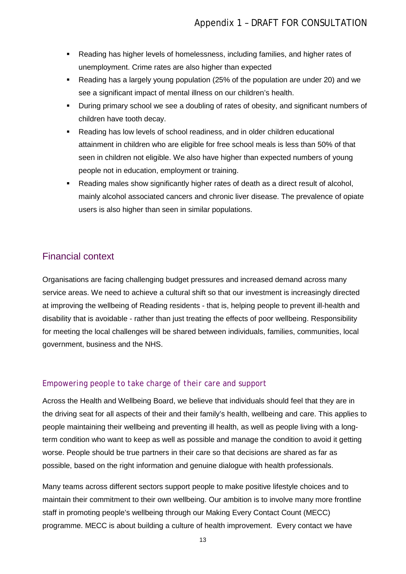- Reading has higher levels of homelessness, including families, and higher rates of unemployment. Crime rates are also higher than expected
- Reading has a largely young population (25% of the population are under 20) and we see a significant impact of mental illness on our children's health.
- During primary school we see a doubling of rates of obesity, and significant numbers of children have tooth decay.
- Reading has low levels of school readiness, and in older children educational attainment in children who are eligible for free school meals is less than 50% of that seen in children not eligible. We also have higher than expected numbers of young people not in education, employment or training.
- Reading males show significantly higher rates of death as a direct result of alcohol, mainly alcohol associated cancers and chronic liver disease. The prevalence of opiate users is also higher than seen in similar populations.

#### <span id="page-13-0"></span>Financial context

Organisations are facing challenging budget pressures and increased demand across many service areas. We need to achieve a cultural shift so that our investment is increasingly directed at improving the wellbeing of Reading residents - that is, helping people to prevent ill-health and disability that is avoidable - rather than just treating the effects of poor wellbeing. Responsibility for meeting the local challenges will be shared between individuals, families, communities, local government, business and the NHS.

#### *Empowering people to take charge of their care and support*

Across the Health and Wellbeing Board, we believe that individuals should feel that they are in the driving seat for all aspects of their and their family's health, wellbeing and care. This applies to people maintaining their wellbeing and preventing ill health, as well as people living with a longterm condition who want to keep as well as possible and manage the condition to avoid it getting worse. People should be true partners in their care so that decisions are shared as far as possible, based on the right information and genuine dialogue with health professionals.

Many teams across different sectors support people to make positive lifestyle choices and to maintain their commitment to their own wellbeing. Our ambition is to involve many more frontline staff in promoting people's wellbeing through our Making Every Contact Count (MECC) programme. MECC is about building a culture of health improvement. Every contact we have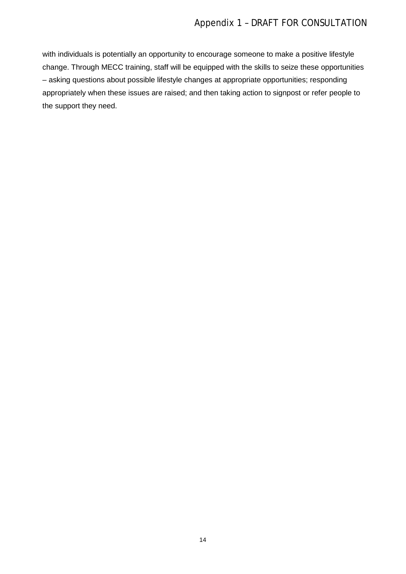with individuals is potentially an opportunity to encourage someone to make a positive lifestyle change. Through MECC training, staff will be equipped with the skills to seize these opportunities – asking questions about possible lifestyle changes at appropriate opportunities; responding appropriately when these issues are raised; and then taking action to signpost or refer people to the support they need.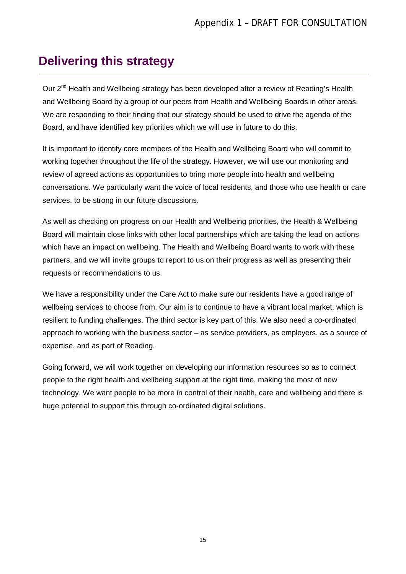# <span id="page-15-0"></span>**Delivering this strategy**

Our  $2<sup>nd</sup>$  Health and Wellbeing strategy has been developed after a review of Reading's Health and Wellbeing Board by a group of our peers from Health and Wellbeing Boards in other areas. We are responding to their finding that our strategy should be used to drive the agenda of the Board, and have identified key priorities which we will use in future to do this.

It is important to identify core members of the Health and Wellbeing Board who will commit to working together throughout the life of the strategy. However, we will use our monitoring and review of agreed actions as opportunities to bring more people into health and wellbeing conversations. We particularly want the voice of local residents, and those who use health or care services, to be strong in our future discussions.

As well as checking on progress on our Health and Wellbeing priorities, the Health & Wellbeing Board will maintain close links with other local partnerships which are taking the lead on actions which have an impact on wellbeing. The Health and Wellbeing Board wants to work with these partners, and we will invite groups to report to us on their progress as well as presenting their requests or recommendations to us.

We have a responsibility under the Care Act to make sure our residents have a good range of wellbeing services to choose from. Our aim is to continue to have a vibrant local market, which is resilient to funding challenges. The third sector is key part of this. We also need a co-ordinated approach to working with the business sector – as service providers, as employers, as a source of expertise, and as part of Reading.

Going forward, we will work together on developing our information resources so as to connect people to the right health and wellbeing support at the right time, making the most of new technology. We want people to be more in control of their health, care and wellbeing and there is huge potential to support this through co-ordinated digital solutions.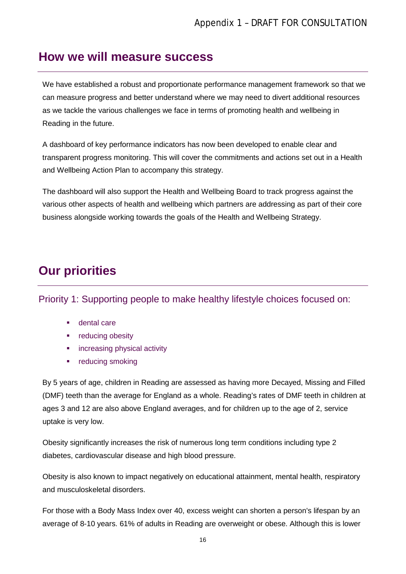### <span id="page-16-0"></span>**How we will measure success**

We have established a robust and proportionate performance management framework so that we can measure progress and better understand where we may need to divert additional resources as we tackle the various challenges we face in terms of promoting health and wellbeing in Reading in the future.

A dashboard of key performance indicators has now been developed to enable clear and transparent progress monitoring. This will cover the commitments and actions set out in a Health and Wellbeing Action Plan to accompany this strategy.

The dashboard will also support the Health and Wellbeing Board to track progress against the various other aspects of health and wellbeing which partners are addressing as part of their core business alongside working towards the goals of the Health and Wellbeing Strategy.

# <span id="page-16-1"></span>**Our priorities**

<span id="page-16-2"></span>Priority 1: Supporting people to make healthy lifestyle choices focused on:

- dental care
- **•** reducing obesity
- **EXEDENT** increasing physical activity
- **•** reducing smoking

By 5 years of age, children in Reading are assessed as having more Decayed, Missing and Filled (DMF) teeth than the average for England as a whole. Reading's rates of DMF teeth in children at ages 3 and 12 are also above England averages, and for children up to the age of 2, service uptake is very low.

Obesity significantly increases the risk of numerous long term conditions including type 2 diabetes, cardiovascular disease and high blood pressure.

Obesity is also known to impact negatively on educational attainment, mental health, respiratory and musculoskeletal disorders.

For those with a Body Mass Index over 40, excess weight can shorten a person's lifespan by an average of 8-10 years. 61% of adults in Reading are overweight or obese. Although this is lower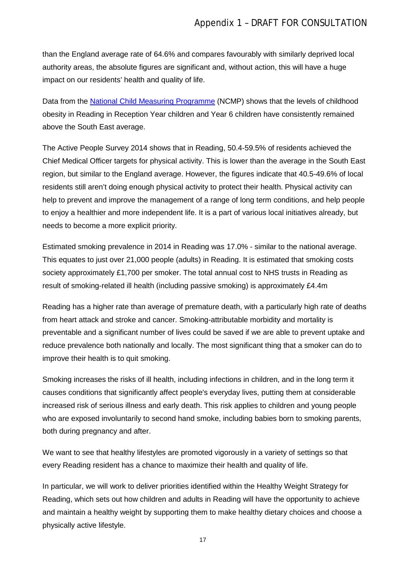than the England average rate of 64.6% and compares favourably with similarly deprived local authority areas, the absolute figures are significant and, without action, this will have a huge impact on our residents' health and quality of life.

Data from the [National Child Measuring Programme](http://www.hscic.gov.uk/ncmp) (NCMP) shows that the levels of childhood obesity in Reading in Reception Year children and Year 6 children have consistently remained above the South East average.

The Active People Survey 2014 shows that in Reading, 50.4-59.5% of residents achieved the Chief Medical Officer targets for physical activity. This is lower than the average in the South East region, but similar to the England average. However, the figures indicate that 40.5-49.6% of local residents still aren't doing enough physical activity to protect their health. Physical activity can help to prevent and improve the management of a range of long term conditions, and help people to enjoy a healthier and more independent life. It is a part of various local initiatives already, but needs to become a more explicit priority.

Estimated smoking prevalence in 2014 in Reading was 17.0% - similar to the national average. This equates to just over 21,000 people (adults) in Reading. It is estimated that smoking costs society approximately £1,700 per smoker. The total annual cost to NHS trusts in Reading as result of smoking-related ill health (including passive smoking) is approximately £4.4m

Reading has a higher rate than average of premature death, with a particularly high rate of deaths from heart attack and stroke and cancer. Smoking-attributable morbidity and mortality is preventable and a significant number of lives could be saved if we are able to prevent uptake and reduce prevalence both nationally and locally. The most significant thing that a smoker can do to improve their health is to quit smoking.

Smoking increases the risks of ill health, including infections in children, and in the long term it causes conditions that significantly affect people's everyday lives, putting them at considerable increased risk of serious illness and early death. This risk applies to children and young people who are exposed involuntarily to second hand smoke, including babies born to smoking parents, both during pregnancy and after.

We want to see that healthy lifestyles are promoted vigorously in a variety of settings so that every Reading resident has a chance to maximize their health and quality of life.

In particular, we will work to deliver priorities identified within the Healthy Weight Strategy for Reading, which sets out how children and adults in Reading will have the opportunity to achieve and maintain a healthy weight by supporting them to make healthy dietary choices and choose a physically active lifestyle.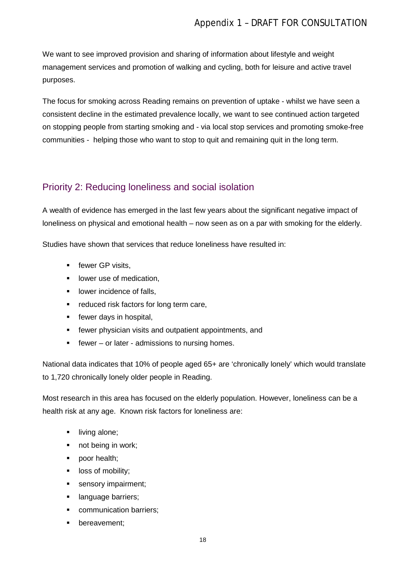We want to see improved provision and sharing of information about lifestyle and weight management services and promotion of walking and cycling, both for leisure and active travel purposes.

The focus for smoking across Reading remains on prevention of uptake - whilst we have seen a consistent decline in the estimated prevalence locally, we want to see continued action targeted on stopping people from starting smoking and - via local stop services and promoting smoke-free communities - helping those who want to stop to quit and remaining quit in the long term.

#### <span id="page-18-0"></span>Priority 2: Reducing loneliness and social isolation

A wealth of evidence has emerged in the last few years about the significant negative impact of loneliness on physical and emotional health – now seen as on a par with smoking for the elderly.

Studies have shown that services that reduce loneliness have resulted in:

- **Figure GP visits,**
- **·** lower use of medication,
- **-** lower incidence of falls,
- **F** reduced risk factors for long term care,
- **Figure 13** fewer days in hospital,
- **F** fewer physician visits and outpatient appointments, and
- $\blacksquare$  fewer or later admissions to nursing homes.

National data indicates that 10% of people aged 65+ are 'chronically lonely' which would translate to 1,720 chronically lonely older people in Reading.

Most research in this area has focused on the elderly population. However, loneliness can be a health risk at any age. Known risk factors for loneliness are:

- **I** living alone;
- not being in work;
- poor health;
- **-** loss of mobility;
- sensory impairment;
- **If** language barriers;
- **•** communication barriers;
- bereavement;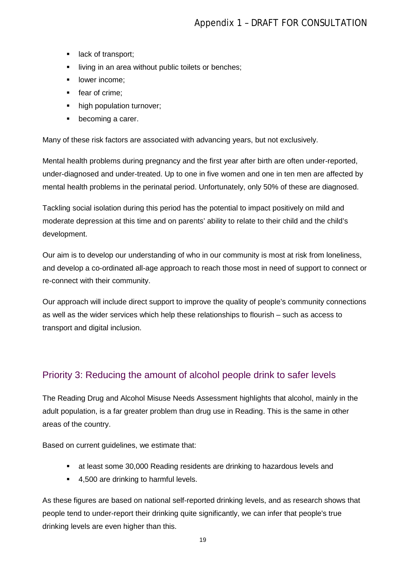- **lack of transport;**
- **I** living in an area without public toilets or benches;
- **-** lower income;
- fear of crime;
- high population turnover;
- becoming a carer.

Many of these risk factors are associated with advancing years, but not exclusively.

Mental health problems during pregnancy and the first year after birth are often under-reported, under-diagnosed and under-treated. Up to one in five women and one in ten men are affected by mental health problems in the perinatal period. Unfortunately, only 50% of these are diagnosed.

Tackling social isolation during this period has the potential to impact positively on mild and moderate depression at this time and on parents' ability to relate to their child and the child's development.

Our aim is to develop our understanding of who in our community is most at risk from loneliness, and develop a co-ordinated all-age approach to reach those most in need of support to connect or re-connect with their community.

Our approach will include direct support to improve the quality of people's community connections as well as the wider services which help these relationships to flourish – such as access to transport and digital inclusion.

#### <span id="page-19-0"></span>Priority 3: Reducing the amount of alcohol people drink to safer levels

The Reading Drug and Alcohol Misuse Needs Assessment highlights that alcohol, mainly in the adult population, is a far greater problem than drug use in Reading. This is the same in other areas of the country.

Based on current guidelines, we estimate that:

- at least some 30,000 Reading residents are drinking to hazardous levels and
- 4,500 are drinking to harmful levels.

As these figures are based on national self-reported drinking levels, and as research shows that people tend to under-report their drinking quite significantly, we can infer that people's true drinking levels are even higher than this.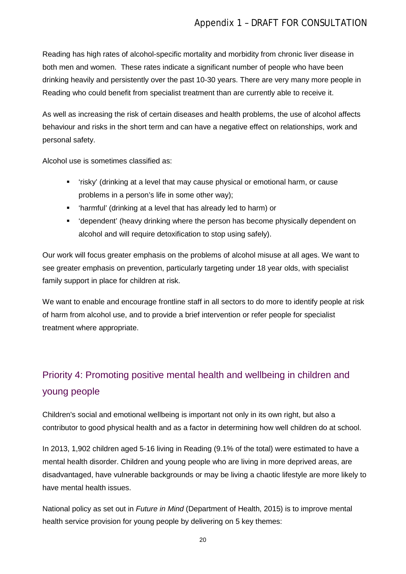Reading has high rates of alcohol-specific mortality and morbidity from chronic liver disease in both men and women. These rates indicate a significant number of people who have been drinking heavily and persistently over the past 10-30 years. There are very many more people in Reading who could benefit from specialist treatment than are currently able to receive it.

As well as increasing the risk of certain diseases and health problems, the use of alcohol affects behaviour and risks in the short term and can have a negative effect on relationships, work and personal safety.

Alcohol use is sometimes classified as:

- 'risky' (drinking at a level that may cause physical or emotional harm, or cause problems in a person's life in some other way);
- 'harmful' (drinking at a level that has already led to harm) or
- 'dependent' (heavy drinking where the person has become physically dependent on alcohol and will require detoxification to stop using safely).

Our work will focus greater emphasis on the problems of alcohol misuse at all ages. We want to see greater emphasis on prevention, particularly targeting under 18 year olds, with specialist family support in place for children at risk.

We want to enable and encourage frontline staff in all sectors to do more to identify people at risk of harm from alcohol use, and to provide a brief intervention or refer people for specialist treatment where appropriate.

# <span id="page-20-0"></span>Priority 4: Promoting positive mental health and wellbeing in children and young people

Children's social and emotional wellbeing is important not only in its own right, but also a contributor to good physical health and as a factor in determining how well children do at school.

In 2013, 1,902 children aged 5-16 living in Reading (9.1% of the total) were estimated to have a mental health disorder. Children and young people who are living in more deprived areas, are disadvantaged, have vulnerable backgrounds or may be living a chaotic lifestyle are more likely to have mental health issues.

National policy as set out in *[Future in Mind](https://www.gov.uk/government/uploads/system/uploads/attachment_data/file/414024/Childrens_Mental_Health.pdf)* (Department of Health, 2015) is to improve mental health service provision for young people by delivering on 5 key themes: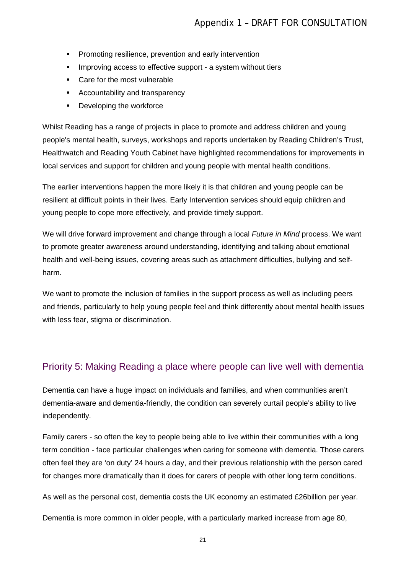- **Promoting resilience, prevention and early intervention**
- **IMPROVING ACCESS TO Effective support a system without tiers**
- Care for the most vulnerable
- **-** Accountability and transparency
- **•** Developing the workforce

Whilst Reading has a range of projects in place to promote and address children and young people's mental health, surveys, workshops and reports undertaken by Reading Children's Trust, Healthwatch and Reading Youth Cabinet have highlighted recommendations for improvements in local services and support for children and young people with mental health conditions.

The earlier interventions happen the more likely it is that children and young people can be resilient at difficult points in their lives. Early Intervention services should equip children and young people to cope more effectively, and provide timely support.

We will drive forward improvement and change through a local *Future in Mind* process. We want to promote greater awareness around understanding, identifying and talking about emotional health and well-being issues, covering areas such as attachment difficulties, bullying and selfharm.

We want to promote the inclusion of families in the support process as well as including peers and friends, particularly to help young people feel and think differently about mental health issues with less fear, stigma or discrimination.

#### <span id="page-21-0"></span>Priority 5: Making Reading a place where people can live well with dementia

Dementia can have a huge impact on individuals and families, and when communities aren't dementia-aware and dementia-friendly, the condition can severely curtail people's ability to live independently.

Family carers - so often the key to people being able to live within their communities with a long term condition - face particular challenges when caring for someone with dementia. Those carers often feel they are 'on duty' 24 hours a day, and their previous relationship with the person cared for changes more dramatically than it does for carers of people with other long term conditions.

As well as the personal cost, dementia costs the UK economy an estimated £26billion per year.

Dementia is more common in older people, with a particularly marked increase from age 80,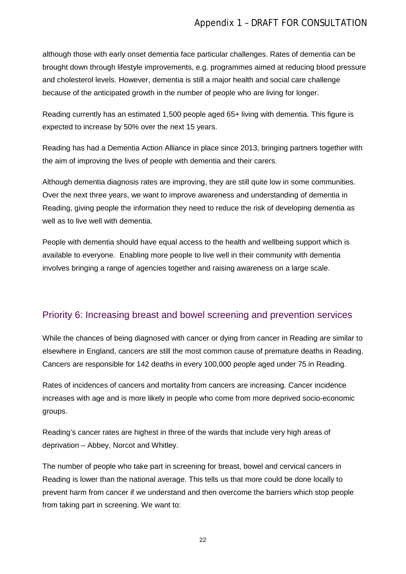although those with early onset dementia face particular challenges. Rates of dementia can be brought down through lifestyle improvements, e.g. programmes aimed at reducing blood pressure and cholesterol levels. However, dementia is still a major health and social care challenge because of the anticipated growth in the number of people who are living for longer.

Reading currently has an estimated 1,500 people aged 65+ living with dementia. This figure is expected to increase by 50% over the next 15 years.

Reading has had a Dementia Action Alliance in place since 2013, bringing partners together with the aim of improving the lives of people with dementia and their carers.

Although dementia diagnosis rates are improving, they are still quite low in some communities. Over the next three years, we want to improve awareness and understanding of dementia in Reading, giving people the information they need to reduce the risk of developing dementia as well as to live well with dementia.

People with dementia should have equal access to the health and wellbeing support which is available to everyone. Enabling more people to live well in their community with dementia involves bringing a range of agencies together and raising awareness on a large scale.

#### <span id="page-22-0"></span>Priority 6: Increasing breast and bowel screening and prevention services

While the chances of being diagnosed with cancer or dying from cancer in Reading are similar to elsewhere in England, cancers are still the most common cause of premature deaths in Reading. Cancers are responsible for 142 deaths in every 100,000 people aged under 75 in Reading.

Rates of incidences of cancers and mortality from cancers are increasing. Cancer incidence increases with age and is more likely in people who come from more deprived socio-economic groups.

Reading's cancer rates are highest in three of the wards that include very high areas of deprivation – Abbey, Norcot and Whitley.

The number of people who take part in screening for breast, bowel and cervical cancers in Reading is lower than the national average. This tells us that more could be done locally to prevent harm from cancer if we understand and then overcome the barriers which stop people from taking part in screening. We want to: